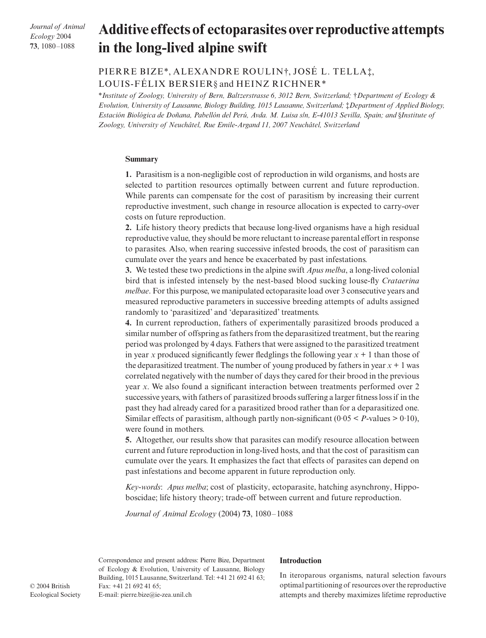*Journal of Animal Ecology* 2004 **73**, 1080–1088

# Additive effects of ectoparasites over reproductive attempts **in the long-lived alpine swift**

## PIERRE BIZE\*, ALEXANDRE ROULIN†, JOSÉ L. TELLA‡, LOUIS-FÉLIX BERSIER§ and HEINZ RICHNER\*

\**Institute of Zoology, University of Bern, Baltzerstrasse 6, 3012 Bern, Switzerland;* †*Department of Ecology & Evolution, University of Lausanne, Biology Building, 1015 Lausanne, Switzerland;* ‡*Department of Applied Biology, Estación Biológica de Doñana, Pabellón del Perú, Avda. M. Luisa s/n, E-41013 Sevilla, Spain; and* §*Institute of Zoology, University of Neuchâtel, Rue Emile-Argand 11, 2007 Neuchâtel, Switzerland* 

## **Summary**

**1.** Parasitism is a non-negligible cost of reproduction in wild organisms, and hosts are selected to partition resources optimally between current and future reproduction. While parents can compensate for the cost of parasitism by increasing their current reproductive investment, such change in resource allocation is expected to carry-over costs on future reproduction.

**2.** Life history theory predicts that because long-lived organisms have a high residual reproductive value, they should be more reluctant to increase parental effort in response to parasites. Also, when rearing successive infested broods, the cost of parasitism can cumulate over the years and hence be exacerbated by past infestations.

**3.** We tested these two predictions in the alpine swift *Apus melba*, a long-lived colonial bird that is infested intensely by the nest-based blood sucking louse-fly *Crataerina melbae*. For this purpose, we manipulated ectoparasite load over 3 consecutive years and measured reproductive parameters in successive breeding attempts of adults assigned randomly to 'parasitized' and 'deparasitized' treatments.

**4.** In current reproduction, fathers of experimentally parasitized broods produced a similar number of offspring as fathers from the deparasitized treatment, but the rearing period was prolonged by 4 days. Fathers that were assigned to the parasitized treatment in year *x* produced significantly fewer fledglings the following year  $x + 1$  than those of the deparasitized treatment. The number of young produced by fathers in year  $x + 1$  was correlated negatively with the number of days they cared for their brood in the previous year *x*. We also found a significant interaction between treatments performed over 2 successive years, with fathers of parasitized broods suffering a larger fitness loss if in the past they had already cared for a parasitized brood rather than for a deparasitized one. Similar effects of parasitism, although partly non-significant  $(0.05 < P$ -values  $> 0.10$ ), were found in mothers.

**5.** Altogether, our results show that parasites can modify resource allocation between current and future reproduction in long-lived hosts, and that the cost of parasitism can cumulate over the years. It emphasizes the fact that effects of parasites can depend on past infestations and become apparent in future reproduction only.

*Key-words*: *Apus melba*; cost of plasticity, ectoparasite, hatching asynchrony, Hippoboscidae; life history theory; trade-off between current and future reproduction.

*Journal of Animal Ecology* (2004) **73**, 1080–1088

Correspondence and present address: Pierre Bize, Department of Ecology & Evolution, University of Lausanne, Biology Building, 1015 Lausanne, Switzerland. Tel: +41 21 692 41 63; Fax: +41 21 692 41 65; E-mail: pierre.bize@ie-zea.unil.ch

## **Introduction**

In iteroparous organisms, natural selection favours optimal partitioning of resources over the reproductive attempts and thereby maximizes lifetime reproductive

© 2004 British Ecological Society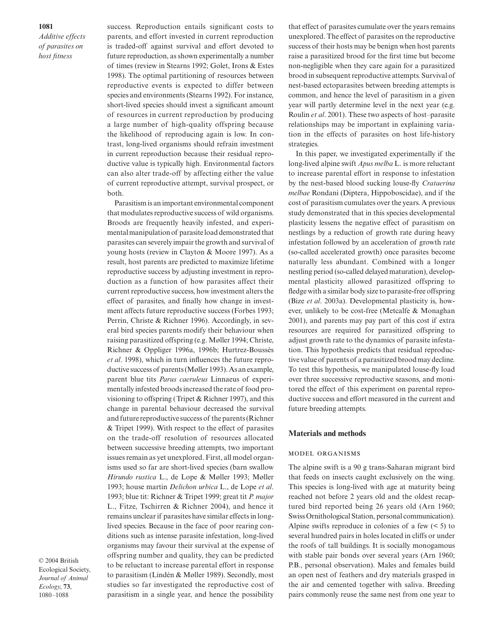**1081**

success. Reproduction entails significant costs to parents, and effort invested in current reproduction is traded-off against survival and effort devoted to future reproduction, as shown experimentally a number of times (review in Stearns 1992; Golet, Irons & Estes 1998). The optimal partitioning of resources between reproductive events is expected to differ between species and environments (Stearns 1992). For instance, short-lived species should invest a significant amount of resources in current reproduction by producing a large number of high-quality offspring because the likelihood of reproducing again is low. In contrast, long-lived organisms should refrain investment in current reproduction because their residual reproductive value is typically high. Environmental factors can also alter trade-off by affecting either the value of current reproductive attempt, survival prospect, or both.

Parasitism is an important environmental component that modulates reproductive success of wild organisms. Broods are frequently heavily infested, and experimental manipulation of parasite load demonstrated that parasites can severely impair the growth and survival of young hosts (review in Clayton & Moore 1997). As a result, host parents are predicted to maximize lifetime reproductive success by adjusting investment in reproduction as a function of how parasites affect their current reproductive success, how investment alters the effect of parasites, and finally how change in investment affects future reproductive success (Forbes 1993; Perrin, Christe & Richner 1996). Accordingly, in several bird species parents modify their behaviour when raising parasitized offspring (e.g. Møller 1994; Christe, Richner & Oppliger 1996a, 1996b; Hurtrez-Boussès *et al*. 1998), which in turn influences the future reproductive success of parents (Møller 1993). As an example, parent blue tits *Parus caeruleus* Linnaeus of experimentally infested broods increased the rate of food provisioning to offspring (Tripet & Richner 1997), and this change in parental behaviour decreased the survival and future reproductive success of the parents (Richner & Tripet 1999). With respect to the effect of parasites on the trade-off resolution of resources allocated between successive breeding attempts, two important issues remain as yet unexplored. First, all model organisms used so far are short-lived species (barn swallow *Hirundo rustica* L., de Lope & Møller 1993; Møller 1993; house martin *Delichon urbica* L., de Lope *et al*. 1993; blue tit: Richner & Tripet 1999; great tit *P. major* L., Fitze, Tschirren & Richner 2004), and hence it remains unclear if parasites have similar effects in longlived species. Because in the face of poor rearing conditions such as intense parasite infestation, long-lived organisms may favour their survival at the expense of offspring number and quality, they can be predicted to be reluctant to increase parental effort in response to parasitism (Lindén & Møller 1989). Secondly, most studies so far investigated the reproductive cost of parasitism in a single year, and hence the possibility

© 2004 British Ecological Society, *Journal of Animal Ecology*, **73**, 1080–1088

that effect of parasites cumulate over the years remains unexplored. The effect of parasites on the reproductive success of their hosts may be benign when host parents raise a parasitized brood for the first time but become non-negligible when they care again for a parasitized brood in subsequent reproductive attempts. Survival of nest-based ectoparasites between breeding attempts is common, and hence the level of parasitism in a given year will partly determine level in the next year (e.g. Roulin *et al*. 2001). These two aspects of host–parasite relationships may be important in explaining variation in the effects of parasites on host life-history strategies.

In this paper, we investigated experimentally if the long-lived alpine swift *Apus melba* L. is more reluctant to increase parental effort in response to infestation by the nest-based blood sucking louse-fly *Crataerina melbae* Rondani (Diptera, Hippoboscidae), and if the cost of parasitism cumulates over the years. A previous study demonstrated that in this species developmental plasticity lessens the negative effect of parasitism on nestlings by a reduction of growth rate during heavy infestation followed by an acceleration of growth rate (so-called accelerated growth) once parasites become naturally less abundant. Combined with a longer nestling period (so-called delayed maturation), developmental plasticity allowed parasitized offspring to fledge with a similar body size to parasite-free offspring (Bize *et al*. 2003a). Developmental plasticity is, however, unlikely to be cost-free (Metcalfe & Monaghan 2001), and parents may pay part of this cost if extra resources are required for parasitized offspring to adjust growth rate to the dynamics of parasite infestation. This hypothesis predicts that residual reproductive value of parents of a parasitized brood may decline. To test this hypothesis, we manipulated louse-fly load over three successive reproductive seasons, and monitored the effect of this experiment on parental reproductive success and effort measured in the current and future breeding attempts.

#### **Materials and methods**

#### **MODEL ORGANISMS**

The alpine swift is a 90 g trans-Saharan migrant bird that feeds on insects caught exclusively on the wing. This species is long-lived with age at maturity being reached not before 2 years old and the oldest recaptured bird reported being 26 years old (Arn 1960; Swiss Ornithological Station, personal communication). Alpine swifts reproduce in colonies of a few  $($  < 5 $)$  to several hundred pairs in holes located in cliffs or under the roofs of tall buildings. It is socially monogamous with stable pair bonds over several years (Arn 1960; P.B., personal observation). Males and females build an open nest of feathers and dry materials grasped in the air and cemented together with saliva. Breeding pairs commonly reuse the same nest from one year to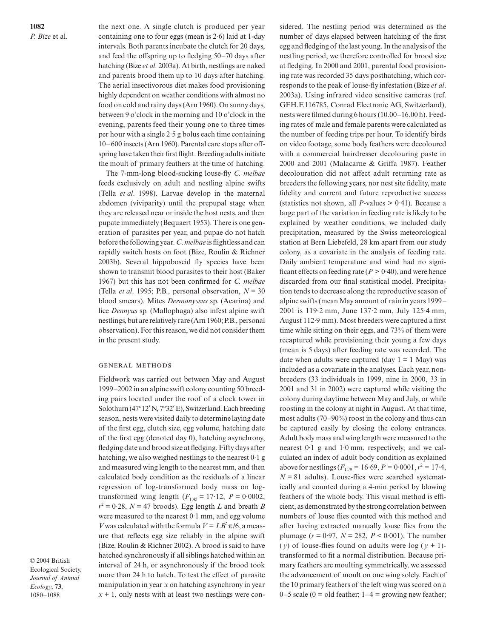the next one. A single clutch is produced per year containing one to four eggs (mean is 2·6) laid at 1-day intervals. Both parents incubate the clutch for 20 days, and feed the offspring up to fledging 50–70 days after hatching (Bize *et al*. 2003a). At birth, nestlings are naked and parents brood them up to 10 days after hatching. The aerial insectivorous diet makes food provisioning highly dependent on weather conditions with almost no food on cold and rainy days (Arn 1960). On sunny days, between 9 o'clock in the morning and 10 o'clock in the evening, parents feed their young one to three times per hour with a single 2·5 g bolus each time containing 10–600 insects (Arn 1960). Parental care stops after offspring have taken their first flight. Breeding adults initiate the moult of primary feathers at the time of hatching.

The 7-mm-long blood-sucking louse-fly *C. melbae* feeds exclusively on adult and nestling alpine swifts (Tella *et al*. 1998). Larvae develop in the maternal abdomen (viviparity) until the prepupal stage when they are released near or inside the host nests, and then pupate immediately (Bequaert 1953). There is one generation of parasites per year, and pupae do not hatch before the following year. *C*. *melbae* is flightless and can rapidly switch hosts on foot (Bize, Roulin & Richner 2003b). Several hippoboscid fly species have been shown to transmit blood parasites to their host (Baker 1967) but this has not been confirmed for *C. melbae* (Tella *et al*. 1995; P.B., personal observation, *N* = 30 blood smears). Mites *Dermanyssus* sp. (Acarina) and lice *Dennyus* sp. (Mallophaga) also infest alpine swift nestlings, but are relatively rare (Arn 1960; P.B., personal observation). For this reason, we did not consider them in the present study.

#### **GENERAL METHODS**

Fieldwork was carried out between May and August 1999–2002 in an alpine swift colony counting 50 breeding pairs located under the roof of a clock tower in Solothurn (47°12′N, 7°32′E), Switzerland. Each breeding season, nests were visited daily to determine laying date of the first egg, clutch size, egg volume, hatching date of the first egg (denoted day 0), hatching asynchrony, fledging date and brood size at fledging. Fifty days after hatching, we also weighed nestlings to the nearest  $0.1$  g and measured wing length to the nearest mm, and then calculated body condition as the residuals of a linear regression of log-transformed body mass on logtransformed wing length  $(F_{1,45} = 17.12, P = 0.0002,$  $r^2 = 0.28$ ,  $N = 47$  broods). Egg length *L* and breath *B* were measured to the nearest 0·1 mm, and egg volume *V* was calculated with the formula  $V = LB^2 \pi/6$ , a measure that reflects egg size reliably in the alpine swift (Bize, Roulin & Richner 2002). A brood is said to have hatched synchronously if all siblings hatched within an interval of 24 h, or asynchronously if the brood took more than 24 h to hatch. To test the effect of parasite manipulation in year *x* on hatching asynchrony in year  $x + 1$ , only nests with at least two nestlings were con-

© 2004 British Ecological Society, *Journal of Animal Ecology*, **73**, 1080–1088

sidered. The nestling period was determined as the number of days elapsed between hatching of the first egg and fledging of the last young. In the analysis of the nestling period, we therefore controlled for brood size at fledging. In 2000 and 2001, parental food provisioning rate was recorded 35 days posthatching, which corresponds to the peak of louse-fly infestation (Bize *et al*. 2003a). Using infrared video sensitive cameras (ref. GEH.F.116785, Conrad Electronic AG, Switzerland), nests were filmed during 6 hours (10.00–16.00 h). Feeding rates of male and female parents were calculated as the number of feeding trips per hour. To identify birds on video footage, some body feathers were decoloured with a commercial hairdresser decolouring paste in 2000 and 2001 (Malacarne & Griffa 1987). Feather decolouration did not affect adult returning rate as breeders the following years, nor nest site fidelity, mate fidelity and current and future reproductive success (statistics not shown, all  $P$ -values  $> 0.41$ ). Because a large part of the variation in feeding rate is likely to be explained by weather conditions, we included daily precipitation, measured by the Swiss meteorological station at Bern Liebefeld, 28 km apart from our study colony, as a covariate in the analysis of feeding rate. Daily ambient temperature and wind had no significant effects on feeding rate  $(P > 0.40)$ , and were hence discarded from our final statistical model. Precipitation tends to decrease along the reproductive season of alpine swifts (mean May amount of rain in years 1999– 2001 is 119·2 mm, June 137·2 mm, July 125·4 mm, August 112·9 mm). Most breeders were captured a first time while sitting on their eggs, and 73% of them were recaptured while provisioning their young a few days (mean is 5 days) after feeding rate was recorded. The date when adults were captured (day  $1 = 1$  May) was included as a covariate in the analyses. Each year, nonbreeders (33 individuals in 1999, nine in 2000, 33 in 2001 and 31 in 2002) were captured while visiting the colony during daytime between May and July, or while roosting in the colony at night in August. At that time, most adults (70–90%) roost in the colony and thus can be captured easily by closing the colony entrances. Adult body mass and wing length were measured to the nearest 0·1 g and 1·0 mm, respectively, and we calculated an index of adult body condition as explained above for nestlings  $(F_{1,79} = 16.69, P = 0.0001, r^2 = 17.4,$  $N = 81$  adults). Louse-flies were searched systematically and counted during a 4-min period by blowing feathers of the whole body. This visual method is efficient, as demonstrated by the strong correlation between numbers of louse flies counted with this method and after having extracted manually louse flies from the plumage  $(r = 0.97, N = 282, P < 0.001)$ . The number (*y*) of louse-flies found on adults were log  $(y + 1)$ transformed to fit a normal distribution. Because primary feathers are moulting symmetrically, we assessed the advancement of moult on one wing solely. Each of the 10 primary feathers of the left wing was scored on a 0–5 scale (0 = old feather;  $1-4$  = growing new feather;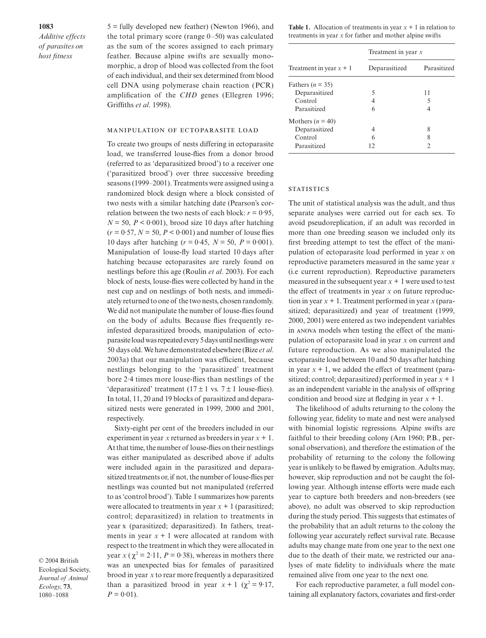5 = fully developed new feather) (Newton 1966), and the total primary score (range 0–50) was calculated as the sum of the scores assigned to each primary feather. Because alpine swifts are sexually monomorphic, a drop of blood was collected from the foot of each individual, and their sex determined from blood cell DNA using polymerase chain reaction (PCR) amplification of the *CHD* genes (Ellegren 1996; Griffiths *et al*. 1998).

## MANIPULATION OF ECTOPARASITE LOAD

To create two groups of nests differing in ectoparasite load, we transferred louse-flies from a donor brood (referred to as 'deparasitized brood') to a receiver one ('parasitized brood') over three successive breeding seasons (1999–2001). Treatments were assigned using a randomized block design where a block consisted of two nests with a similar hatching date (Pearson's correlation between the two nests of each block:  $r = 0.95$ ,  $N = 50$ ,  $P < 0.001$ ), brood size 10 days after hatching  $(r = 0.57, N = 50, P < 0.001)$  and number of louse flies 10 days after hatching (*r =* 0·45, *N* = 50, *P* = 0·001). Manipulation of louse-fly load started 10 days after hatching because ectoparasites are rarely found on nestlings before this age (Roulin *et al*. 2003). For each block of nests, louse-flies were collected by hand in the nest cup and on nestlings of both nests, and immediately returned to one of the two nests, chosen randomly. We did not manipulate the number of louse-flies found on the body of adults. Because flies frequently reinfested deparasitized broods, manipulation of ectoparasite load was repeated every 5 days until nestlings were 50 days old. We have demonstrated elsewhere (Bize *et al*. 2003a) that our manipulation was efficient, because nestlings belonging to the 'parasitized' treatment bore 2·4 times more louse-flies than nestlings of the 'deparasitized' treatment  $(17 \pm 1 \text{ vs. } 7 \pm 1 \text{ louse-flies}).$ In total, 11, 20 and 19 blocks of parasitized and deparasitized nests were generated in 1999, 2000 and 2001, respectively.

Sixty-eight per cent of the breeders included in our experiment in year *x* returned as breeders in year  $x + 1$ . At that time, the number of louse-flies on their nestlings was either manipulated as described above if adults were included again in the parasitized and deparasitized treatments or, if not, the number of louse-flies per nestlings was counted but not manipulated (referred to as 'control brood'). Table 1 summarizes how parents were allocated to treatments in year  $x + 1$  (parasitized; control; deparasitized) in relation to treatments in year x (parasitized; deparasitized). In fathers, treatments in year  $x + 1$  were allocated at random with respect to the treatment in which they were allocated in year  $x$  ( $\chi^2$  = 2·11,  $P$  = 0·38), whereas in mothers there was an unexpected bias for females of parasitized brood in year *x* to rear more frequently a deparasitized than a parasitized brood in year  $x + 1$  ( $\chi^2 = 9.17$ ,  $P = 0.01$ .

© 2004 British Ecological Society, *Journal of Animal Ecology*, **73**, 1080–1088

**Table 1.** Allocation of treatments in year  $x + 1$  in relation to treatments in year *x* for father and mother alpine swifts

|                           | Treatment in year $x$ |             |  |  |  |
|---------------------------|-----------------------|-------------|--|--|--|
| Treatment in year $x + 1$ | Deparasitized         | Parasitized |  |  |  |
| Fathers ( $n = 35$ )      |                       |             |  |  |  |
| Deparasitized             | 5                     | 11          |  |  |  |
| Control                   |                       |             |  |  |  |
| Parasitized               | 6                     |             |  |  |  |
| Mothers $(n = 40)$        |                       |             |  |  |  |
| Deparasitized             |                       | 8           |  |  |  |
| Control                   | 6                     |             |  |  |  |
| Parasitized               | ר ו                   |             |  |  |  |

#### **STATISTICS**

The unit of statistical analysis was the adult, and thus separate analyses were carried out for each sex. To avoid pseudoreplication, if an adult was recorded in more than one breeding season we included only its first breeding attempt to test the effect of the manipulation of ectoparasite load performed in year *x* on reproductive parameters measured in the same year *x* (i.e current reproduction). Reproductive parameters measured in the subsequent year  $x + 1$  were used to test the effect of treatments in year *x* on future reproduction in year  $x + 1$ . Treatment performed in year  $x$  (parasitized; deparasitized) and year of treatment (1999, 2000, 2001) were entered as two independent variables in ANOVA models when testing the effect of the manipulation of ectoparasite load in year *x* on current and future reproduction. As we also manipulated the ectoparasite load between 10 and 50 days after hatching in year  $x + 1$ , we added the effect of treatment (parasitized; control; deparasitized) performed in year  $x + 1$ as an independent variable in the analysis of offspring condition and brood size at fledging in year *x* + 1.

The likelihood of adults returning to the colony the following year, fidelity to mate and nest were analysed with binomial logistic regressions. Alpine swifts are faithful to their breeding colony (Arn 1960; P.B., personal observation), and therefore the estimation of the probability of returning to the colony the following year is unlikely to be flawed by emigration. Adults may, however, skip reproduction and not be caught the following year. Although intense efforts were made each year to capture both breeders and non-breeders (see above), no adult was observed to skip reproduction during the study period. This suggests that estimates of the probability that an adult returns to the colony the following year accurately reflect survival rate. Because adults may change mate from one year to the next one due to the death of their mate, we restricted our analyses of mate fidelity to individuals where the mate remained alive from one year to the next one.

For each reproductive parameter, a full model containing all explanatory factors, covariates and first-order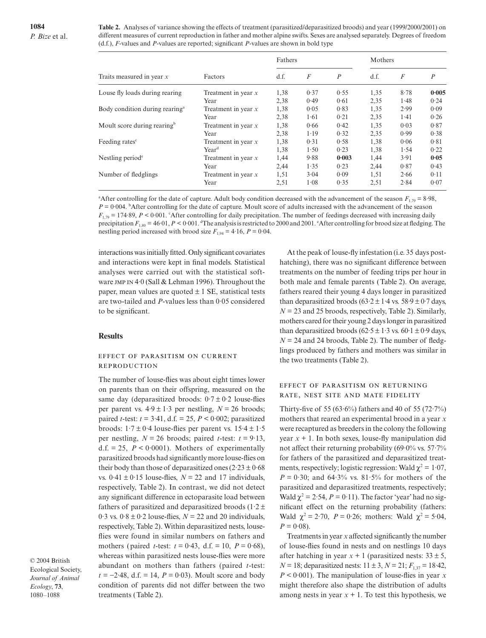**Table 2.** Analyses of variance showing the effects of treatment (parasitized/deparasitized broods) and year (1999/2000/2001) on different measures of current reproduction in father and mother alpine swifts. Sexes are analysed separately. Degrees of freedom (d.f.), *F*-values and *P*-values are reported; significant *P*-values are shown in bold type

| Traits measured in year $x$                | <b>Factors</b>        | Fathers |      |                | Mothers |                  |                  |
|--------------------------------------------|-----------------------|---------|------|----------------|---------|------------------|------------------|
|                                            |                       | d.f.    | F    | $\overline{P}$ | d.f.    | $\boldsymbol{F}$ | $\boldsymbol{P}$ |
| Louse fly loads during rearing             | Treatment in year $x$ | 1,38    | 0.37 | 0.55           | 1,35    | 8.78             | 0.005            |
|                                            | Year                  | 2,38    | 0.49 | 0.61           | 2,35    | 1.48             | 0.24             |
| Body condition during rearing <sup>a</sup> | Treatment in year $x$ | 1,38    | 0.05 | 0.83           | 1,35    | 2.99             | 0.09             |
|                                            | Year                  | 2,38    | 1.61 | 0.21           | 2,35    | 1.41             | 0.26             |
| Moult score during rearing <sup>b</sup>    | Treatment in year $x$ | 1,38    | 0.66 | 0.42           | 1,35    | 0.03             | 0.87             |
|                                            | Year                  | 2,38    | 1.19 | 0.32           | 2,35    | 0.99             | 0.38             |
| Feeding rates <sup>c</sup>                 | Treatment in year $x$ | 1,38    | 0.31 | 0.58           | 1,38    | 0.06             | 0.81             |
|                                            | Year <sup>d</sup>     | 1,38    | 1.50 | 0.23           | 1,38    | 1.54             | 0.22             |
| Nestling period <sup>e</sup>               | Treatment in year $x$ | 1,44    | 9.88 | 0.003          | 1,44    | 3.91             | 0.05             |
|                                            | Year                  | 2,44    | 1.35 | 0.23           | 2,44    | 0.87             | 0.43             |
| Number of fledglings                       | Treatment in year $x$ | 1,51    | 3.04 | 0.09           | 1,51    | 2.66             | 0.11             |
|                                            | Year                  | 2,51    | 1.08 | 0.35           | 2,51    | 2.84             | 0.07             |

<sup>a</sup>After controlling for the date of capture. Adult body condition decreased with the advancement of the season  $F_{1,79} = 8.98$ ,  $P = 0.004$ . **b**After controlling for the date of capture. Moult score of adults increased with the advancement of the season  $F_{1,79}$  = 174·89, *P* < 0·001. After controlling for daily precipitation. The number of feedings decreased with increasing daily precipitation  $F_{1,80} = 46.01$ ,  $P < 0.001$ . <sup>a</sup>The analysis is restricted to 2000 and 2001. After controlling for brood size at fledging. The nestling period increased with brood size  $F_{1,94} = 4.16$ ,  $P = 0.04$ .

interactions was initially fitted. Only significant covariates and interactions were kept in final models. Statistical analyses were carried out with the statistical software  $JMP IN 4.0$  (Sall & Lehman 1996). Throughout the paper, mean values are quoted  $\pm$  1 SE, statistical tests are two-tailed and *P*-values less than 0·05 considered to be significant.

#### **Results**

## EFFECT OF PARASITISM ON CURRENT REPRODUCTION

The number of louse-flies was about eight times lower on parents than on their offspring, measured on the same day (deparasitized broods:  $0.7 \pm 0.2$  louse-flies per parent vs.  $4.9 \pm 1.3$  per nestling,  $N = 26$  broods; paired *t*-test:  $t = 3.41$ , d.f. = 25,  $P < 0.002$ ; parasitized broods:  $1.7 \pm 0.4$  louse-flies per parent vs.  $15.4 \pm 1.5$ per nestling,  $N = 26$  broods; paired *t*-test:  $t = 9.13$ , d.f.  $= 25$ ,  $P < 0.0001$ ). Mothers of experimentally parasitized broods had significantly more louse-flies on their body than those of deparasitized ones  $(2.23 \pm 0.68)$ vs.  $0.41 \pm 0.15$  louse-flies,  $N = 22$  and 17 individuals, respectively, Table 2). In contrast, we did not detect any significant difference in ectoparasite load between fathers of parasitized and deparasitized broods  $(1.2 \pm$ 0.3 vs.  $0.8 \pm 0.2$  louse-flies,  $N = 22$  and 20 individuals, respectively, Table 2). Within deparasitized nests, louseflies were found in similar numbers on fathers and mothers (paired *t*-test:  $t = 0.43$ , d.f. = 10,  $P = 0.68$ ), whereas within parasitized nests louse-flies were more abundant on mothers than fathers (paired *t*-test: *t* = −2·48, d.f. = 14, *P* = 0·03). Moult score and body condition of parents did not differ between the two treatments (Table 2).

© 2004 British Ecological Society, *Journal of Animal Ecology*, **73**, 1080–1088

At the peak of louse-fly infestation (i.e. 35 days posthatching), there was no significant difference between treatments on the number of feeding trips per hour in both male and female parents (Table 2). On average, fathers reared their young 4 days longer in parasitized than deparasitized broods  $(63.2 \pm 1.4 \text{ vs. } 58.9 \pm 0.7 \text{ days})$  $N = 23$  and 25 broods, respectively, Table 2). Similarly, mothers cared for their young 2 days longer in parasitized than deparasitized broods  $(62.5 \pm 1.3 \text{ vs. } 60.1 \pm 0.9 \text{ days})$  $N = 24$  and 24 broods, Table 2). The number of fledglings produced by fathers and mothers was similar in the two treatments (Table 2).

## EFFECT OF PARASITISM ON RETURNING RATE, NEST SITE AND MATE FIDELITY

Thirty-five of 55 (63 $\cdot$ 6%) fathers and 40 of 55 (72 $\cdot$ 7%) mothers that reared an experimental brood in a year *x* were recaptured as breeders in the colony the following year  $x + 1$ . In both sexes, louse-fly manipulation did not affect their returning probability (69·0% vs. 57·7% for fathers of the parasitized and deparasitized treatments, respectively; logistic regression: Wald  $\chi^2 = 1.07$ ,  $P = 0.30$ ; and  $64.3\%$  vs.  $81.5\%$  for mothers of the parasitized and deparasitized treatments, respectively; Wald  $\chi^2 = 2.54$ ,  $P = 0.11$ ). The factor 'year' had no significant effect on the returning probability (fathers: Wald  $\chi^2 = 2.70$ ,  $P = 0.26$ ; mothers: Wald  $\chi^2 = 5.04$ ,  $P = 0.08$ .

Treatments in year *x* affected significantly the number of louse-flies found in nests and on nestlings 10 days after hatching in year  $x + 1$  (parasitized nests:  $33 \pm 5$ ,  $N = 18$ ; deparasitized nests:  $11 \pm 3$ ,  $N = 21$ ;  $F_{1,37} = 18.42$ , *P* < 0·001). The manipulation of louse-flies in year *x* might therefore also shape the distribution of adults among nests in year  $x + 1$ . To test this hypothesis, we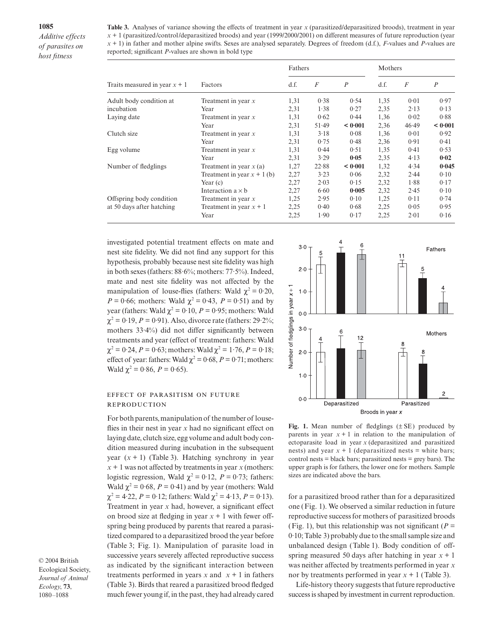**Table 3.** Analyses of variance showing the effects of treatment in year *x* (parasitized/deparasitized broods), treatment in year *x* + 1 (parasitized/control/deparasitized broods) and year (1999/2000/2001) on different measures of future reproduction (year *x* + 1) in father and mother alpine swifts. Sexes are analysed separately. Degrees of freedom (d.f.), *F*-values and *P*-values are reported; significant *P*-values are shown in bold type

| Traits measured in year $x + 1$ | Factors                       | Fathers |                  |                | Mothers |                  |                |
|---------------------------------|-------------------------------|---------|------------------|----------------|---------|------------------|----------------|
|                                 |                               | d.f.    | $\boldsymbol{F}$ | $\overline{P}$ | d.f.    | $\boldsymbol{F}$ | $\overline{P}$ |
| Adult body condition at         | Treatment in year $x$         | 1,31    | 0.38             | 0.54           | 1,35    | 0.01             | 0.97           |
| incubation                      | Year                          | 2,31    | 1.38             | 0.27           | 2,35    | 2.13             | 0.13           |
| Laying date                     | Treatment in year $x$         | 1,31    | 0.62             | 0.44           | 1,36    | 0.02             | 0.88           |
|                                 | Year                          | 2,31    | 51.49            | < 0.001        | 2,36    | 46.49            | < 0.001        |
| Clutch size                     | Treatment in year $x$         | 1,31    | 3.18             | 0.08           | 1,36    | 0.01             | 0.92           |
|                                 | Year                          | 2,31    | 0.75             | 0.48           | 2,36    | 0.91             | 0.41           |
| Egg volume                      | Treatment in year $x$         | 1,31    | 0.44             | 0.51           | 1,35    | 0.41             | 0.53           |
|                                 | Year                          | 2,31    | 3.29             | 0.05           | 2,35    | 4.13             | 0.02           |
| Number of fledglings            | Treatment in year $x(a)$      | 1,27    | 22.88            | < 0.001        | 1,32    | 4.34             | 0.045          |
|                                 | Treatment in year $x + 1$ (b) | 2,27    | 3.23             | 0.06           | 2,32    | 2.44             | 0.10           |
|                                 | Year $(c)$                    | 2,27    | 2.03             | 0.15           | 2,32    | 1.88             | 0.17           |
|                                 | Interaction $a \times b$      | 2,27    | 6.60             | 0.005          | 2,32    | 2.45             | 0.10           |
| Offspring body condition        | Treatment in year $x$         | 1,25    | 2.95             | 0.10           | 1,25    | 0.11             | 0.74           |
| at 50 days after hatching       | Treatment in year $x + 1$     | 2,25    | 0.40             | 0.68           | 2,25    | 0.05             | 0.95           |
|                                 | Year                          | 2,25    | 1.90             | 0.17           | 2,25    | 2.01             | 0.16           |

investigated potential treatment effects on mate and nest site fidelity. We did not find any support for this hypothesis, probably because nest site fidelity was high in both sexes (fathers: 88·6%; mothers: 77·5%). Indeed, mate and nest site fidelity was not affected by the manipulation of louse-flies (fathers: Wald  $\chi^2 = 0.20$ , *P* = 0.66; mothers: Wald  $\chi^2 = 0.43$ , *P* = 0.51) and by year (fathers: Wald  $\chi^2 = 0.10$ ,  $P = 0.95$ ; mothers: Wald  $\chi^2 = 0.19, P = 0.91$ ). Also, divorce rate (fathers: 29.2%; mothers 33·4%) did not differ significantly between treatments and year (effect of treatment: fathers: Wald  $\chi^2 = 0.24, P = 0.63$ ; mothers: Wald  $\chi^2 = 1.76, P = 0.18$ ; effect of year: fathers: Wald  $\chi^2 = 0.68$ ,  $P = 0.71$ ; mothers: Wald  $\chi^2 = 0.86$ ,  $P = 0.65$ ).

#### EFFECT OF PARASITISM ON FUTURE **REPRODUCTION**

For both parents, manipulation of the number of louseflies in their nest in year *x* had no significant effect on laying date, clutch size, egg volume and adult body condition measured during incubation in the subsequent year  $(x + 1)$  (Table 3). Hatching synchrony in year *x* + 1 was not affected by treatments in year *x* (mothers: logistic regression, Wald  $\chi^2 = 0.12$ ,  $P = 0.73$ ; fathers: Wald  $\chi^2 = 0.68$ ,  $P = 0.41$ ) and by year (mothers: Wald  $\chi^2 = 4.22$ ,  $P = 0.12$ ; fathers: Wald  $\chi^2 = 4.13$ ,  $P = 0.13$ ). Treatment in year *x* had, however, a significant effect on brood size at fledging in year  $x + 1$  with fewer offspring being produced by parents that reared a parasitized compared to a deparasitized brood the year before (Table 3; Fig. 1). Manipulation of parasite load in successive years severely affected reproductive success as indicated by the significant interaction between treatments performed in years  $x$  and  $x + 1$  in fathers (Table 3). Birds that reared a parasitized brood fledged much fewer young if, in the past, they had already cared

© 2004 British Ecological Society, *Journal of Animal Ecology*, **73**, 1080–1088



Fig. 1. Mean number of fledglings ( $\pm$  SE) produced by parents in year  $x + 1$  in relation to the manipulation of ectoparasite load in year *x* (deparasitized and parasitized nests) and year  $x + 1$  (deparasitized nests = white bars; control nests  $=$  black bars; parasitized nests  $=$  grey bars). The upper graph is for fathers, the lower one for mothers. Sample sizes are indicated above the bars.

for a parasitized brood rather than for a deparasitized one (Fig. 1). We observed a similar reduction in future reproductive success for mothers of parasitized broods (Fig. 1), but this relationship was not significant (*P =* 0·10; Table 3) probably due to the small sample size and unbalanced design (Table 1). Body condition of offspring measured 50 days after hatching in year  $x + 1$ was neither affected by treatments performed in year *x* nor by treatments performed in year  $x + 1$  (Table 3).

Life-history theory suggests that future reproductive success is shaped by investment in current reproduction.

#### **1085**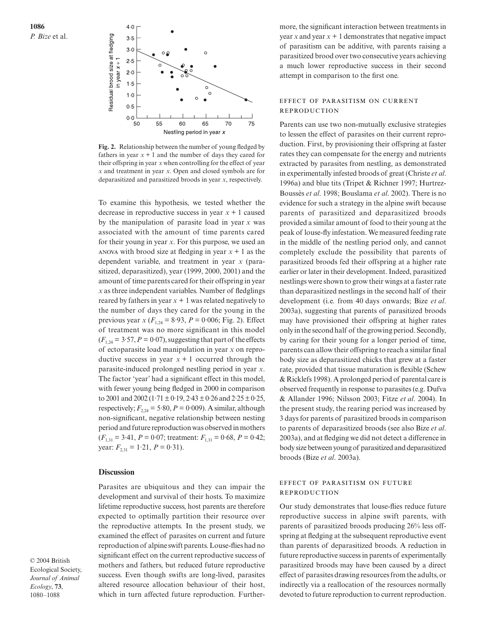

**Fig. 2.** Relationship between the number of young fledged by fathers in year  $x + 1$  and the number of days they cared for their offspring in year *x* when controlling for the effect of year *x* and treatment in year *x*. Open and closed symbols are for deparasitized and parasitized broods in year *x*, respectively.

To examine this hypothesis, we tested whether the decrease in reproductive success in year  $x + 1$  caused by the manipulation of parasite load in year *x* was associated with the amount of time parents cared for their young in year *x*. For this purpose, we used an ANOVA with brood size at fledging in year  $x + 1$  as the dependent variable, and treatment in year *x* (parasitized, deparasitized), year (1999, 2000, 2001) and the amount of time parents cared for their offspring in year *x* as three independent variables. Number of fledglings reared by fathers in year  $x + 1$  was related negatively to the number of days they cared for the young in the previous year *x* ( $F_{1,24}$  = 8.93,  $P$  = 0.006; Fig. 2). Effect of treatment was no more significant in this model  $(F_{1,24} = 3.57, P = 0.07)$ , suggesting that part of the effects of ectoparasite load manipulation in year *x* on reproductive success in year  $x + 1$  occurred through the parasite-induced prolonged nestling period in year *x*. The factor 'year' had a significant effect in this model, with fewer young being fledged in 2000 in comparison to 2001 and 2002 (1 $\cdot$ 71  $\pm$  0 $\cdot$ 19, 2 $\cdot$ 43  $\pm$  0 $\cdot$ 26 and 2 $\cdot$ 25  $\pm$  0 $\cdot$ 25, respectively;  $F_{2,24} = 5.80$ ,  $P = 0.009$ ). A similar, although non-significant, negative relationship between nesting period and future reproduction was observed in mothers  $(F<sub>1,31</sub> = 3.41, P = 0.07$ ; treatment:  $F<sub>1,31</sub> = 0.68, P = 0.42$ ; year:  $F_{2,31} = 1.21$ ,  $P = 0.31$ ).

## **Discussion**

Parasites are ubiquitous and they can impair the development and survival of their hosts. To maximize lifetime reproductive success, host parents are therefore expected to optimally partition their resource over the reproductive attempts. In the present study, we examined the effect of parasites on current and future reproduction of alpine swift parents. Louse-flies had no significant effect on the current reproductive success of mothers and fathers, but reduced future reproductive success. Even though swifts are long-lived, parasites altered resource allocation behaviour of their host, which in turn affected future reproduction. Further-

© 2004 British Ecological Society, *Journal of Animal Ecology*, **73**, 1080–1088

more, the significant interaction between treatments in year *x* and year  $x + 1$  demonstrates that negative impact of parasitism can be additive, with parents raising a parasitized brood over two consecutive years achieving a much lower reproductive success in their second attempt in comparison to the first one.

## EFFECT OF PARASITISM ON CURRENT **REPRODUCTION**

Parents can use two non-mutually exclusive strategies to lessen the effect of parasites on their current reproduction. First, by provisioning their offspring at faster rates they can compensate for the energy and nutrients extracted by parasites from nestling, as demonstrated in experimentally infested broods of great (Christe *et al*. 1996a) and blue tits (Tripet & Richner 1997; Hurtrez-Boussès *et al*. 1998; Bouslama *et al*. 2002). There is no evidence for such a strategy in the alpine swift because parents of parasitized and deparasitized broods provided a similar amount of food to their young at the peak of louse-fly infestation. We measured feeding rate in the middle of the nestling period only, and cannot completely exclude the possibility that parents of parasitized broods fed their offspring at a higher rate earlier or later in their development. Indeed, parasitized nestlings were shown to grow their wings at a faster rate than deparasitized nestlings in the second half of their development (i.e. from 40 days onwards; Bize *et al*. 2003a), suggesting that parents of parasitized broods may have provisioned their offspring at higher rates only in the second half of the growing period. Secondly, by caring for their young for a longer period of time, parents can allow their offspring to reach a similar final body size as deparasitized chicks that grew at a faster rate, provided that tissue maturation is flexible (Schew & Ricklefs 1998). A prolonged period of parental care is observed frequently in response to parasites (e.g. Dufva & Allander 1996; Nilsson 2003; Fitze *et al*. 2004). In the present study, the rearing period was increased by 3 days for parents of parasitized broods in comparison to parents of deparasitized broods (see also Bize *et al*. 2003a), and at fledging we did not detect a difference in body size between young of parasitized and deparasitized broods (Bize *et al*. 2003a).

## EFFECT OF PARASITISM ON FUTURE **REPRODUCTION**

Our study demonstrates that louse-flies reduce future reproductive success in alpine swift parents, with parents of parasitized broods producing 26% less offspring at fledging at the subsequent reproductive event than parents of deparasitized broods. A reduction in future reproductive success in parents of experimentally parasitized broods may have been caused by a direct effect of parasites drawing resources from the adults, or indirectly via a reallocation of the resources normally devoted to future reproduction to current reproduction.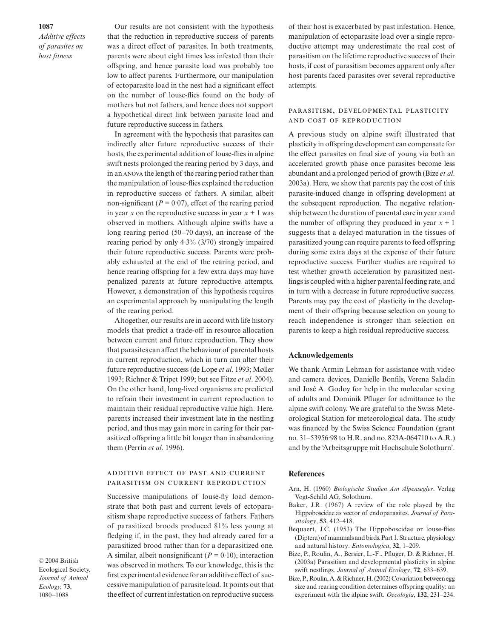Our results are not consistent with the hypothesis that the reduction in reproductive success of parents was a direct effect of parasites. In both treatments, parents were about eight times less infested than their offspring, and hence parasite load was probably too low to affect parents. Furthermore, our manipulation of ectoparasite load in the nest had a significant effect on the number of louse-flies found on the body of mothers but not fathers, and hence does not support a hypothetical direct link between parasite load and future reproductive success in fathers.

In agreement with the hypothesis that parasites can indirectly alter future reproductive success of their hosts, the experimental addition of louse-flies in alpine swift nests prolonged the rearing period by 3 days, and in an ANOVA the length of the rearing period rather than the manipulation of louse-flies explained the reduction in reproductive success of fathers. A similar, albeit non-significant ( $P = 0.07$ ), effect of the rearing period in year *x* on the reproductive success in year  $x + 1$  was observed in mothers. Although alpine swifts have a long rearing period (50–70 days), an increase of the rearing period by only 4·3% (3/70) strongly impaired their future reproductive success. Parents were probably exhausted at the end of the rearing period, and hence rearing offspring for a few extra days may have penalized parents at future reproductive attempts. However, a demonstration of this hypothesis requires an experimental approach by manipulating the length of the rearing period.

Altogether, our results are in accord with life history models that predict a trade-off in resource allocation between current and future reproduction. They show that parasites can affect the behaviour of parental hosts in current reproduction, which in turn can alter their future reproductive success (de Lope *et al*. 1993; Møller 1993; Richner & Tripet 1999; but see Fitze *et al*. 2004). On the other hand, long-lived organisms are predicted to refrain their investment in current reproduction to maintain their residual reproductive value high. Here, parents increased their investment late in the nestling period, and thus may gain more in caring for their parasitized offspring a little bit longer than in abandoning them (Perrin *et al*. 1996).

## ADDITIVE EFFECT OF PAST AND CURRENT PARASITISM ON CURRENT REPRODUCTION

Successive manipulations of louse-fly load demonstrate that both past and current levels of ectoparasitism shape reproductive success of fathers. Fathers of parasitized broods produced 81% less young at fledging if, in the past, they had already cared for a parasitized brood rather than for a deparasitized one. A similar, albeit nonsignificant (*P =* 0·10), interaction was observed in mothers. To our knowledge, this is the first experimental evidence for an additive effect of successive manipulation of parasite load. It points out that the effect of current infestation on reproductive success

© 2004 British Ecological Society, *Journal of Animal Ecology*, **73**, 1080–1088

of their host is exacerbated by past infestation. Hence, manipulation of ectoparasite load over a single reproductive attempt may underestimate the real cost of parasitism on the lifetime reproductive success of their hosts, if cost of parasitism becomes apparent only after host parents faced parasites over several reproductive attempts.

## PARASITISM, DEVELOPMENTAL PLASTICITY AND COST OF REPRODUCTION

A previous study on alpine swift illustrated that plasticity in offspring development can compensate for the effect parasites on final size of young via both an accelerated growth phase once parasites become less abundant and a prolonged period of growth (Bize *et al*. 2003a). Here, we show that parents pay the cost of this parasite-induced change in offspring development at the subsequent reproduction. The negative relationship between the duration of parental care in year *x* and the number of offspring they produced in year  $x + 1$ suggests that a delayed maturation in the tissues of parasitized young can require parents to feed offspring during some extra days at the expense of their future reproductive success. Further studies are required to test whether growth acceleration by parasitized nestlings is coupled with a higher parental feeding rate, and in turn with a decrease in future reproductive success. Parents may pay the cost of plasticity in the development of their offspring because selection on young to reach independence is stronger than selection on parents to keep a high residual reproductive success.

## **Acknowledgements**

We thank Armin Lehman for assistance with video and camera devices, Danielle Bonfils, Verena Saladin and José A. Godoy for help in the molecular sexing of adults and Dominik Pfluger for admittance to the alpine swift colony. We are grateful to the Swiss Meteorological Station for meteorological data. The study was financed by the Swiss Science Foundation (grant no. 31–53956·98 to H.R. and no. 823A-064710 to A.R.) and by the 'Arbeitsgruppe mit Hochschule Solothurn'.

#### **References**

- Arn, H. (1960) *Biologische Studien Am Alpensegler*. Verlag Vogt-Schild AG, Solothurn.
- Baker, J.R. (1967) A review of the role played by the Hippoboscidae as vector of endoparasites. *Journal of Parasitology*, **53**, 412–418.
- Bequaert, J.C. (1953) The Hippoboscidae or louse-flies (Diptera) of mammals and birds. Part 1. Structure, physiology and natural history. *Entomologica*, **32**, 1–209.
- Bize, P., Roulin, A., Bersier, L.-F., Pfluger, D. & Richner, H. (2003a) Parasitism and developmental plasticity in alpine swift nestlings. *Journal of Animal Ecology*, **72**, 633–639.
- Bize, P., Roulin, A. & Richner, H. (2002) Covariation between egg size and rearing condition determines offspring quality: an experiment with the alpine swift. *Oecologia*, **132**, 231–234.